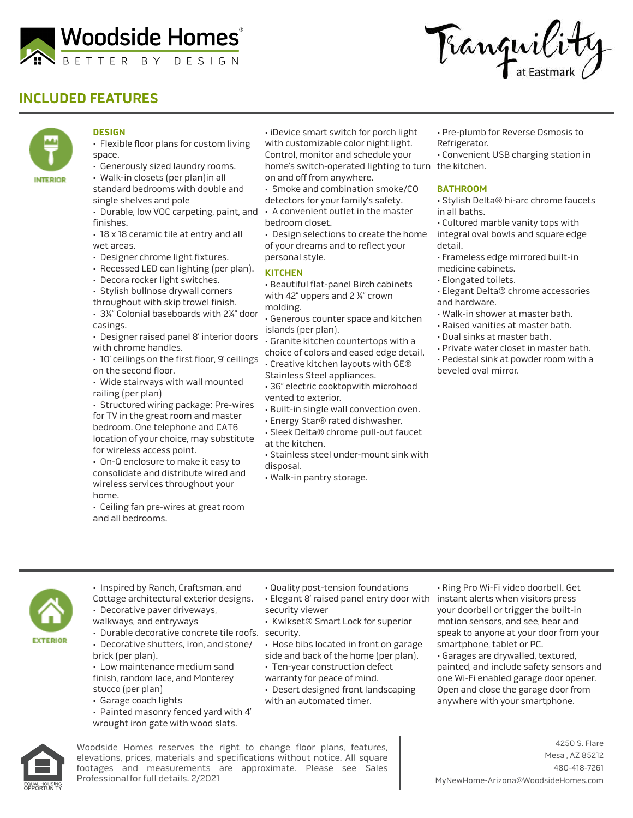

# **INCLUDED FEATURES**





### **DESIGN**

- Flexible floor plans for custom living space.
- Generously sized laundry rooms.
- Walk-in closets (per plan)in all standard bedrooms with double and single shelves and pole
- Durable, low VOC carpeting, paint, and A convenient outlet in the master finishes.
- 18 x 18 ceramic tile at entry and all wet areas.
- Designer chrome light fixtures.
- Recessed LED can lighting (per plan).
- Decora rocker light switches.
- Stylish bullnose drywall corners
- throughout with skip trowel finish. • 3¼" Colonial baseboards with 2¼" door
- casings.
- Designer raised panel 8' interior doors with chrome handles.
- 10' ceilings on the first floor, 9' ceilings on the second floor.
- Wide stairways with wall mounted railing (per plan)
- Structured wiring package: Pre-wires for TV in the great room and master bedroom. One telephone and CAT6 location of your choice, may substitute for wireless access point.
- On-Q enclosure to make it easy to consolidate and distribute wired and wireless services throughout your home.
- Ceiling fan pre-wires at great room and all bedrooms.
- iDevice smart switch for porch light with customizable color night light. Control, monitor and schedule your home's switch-operated lighting to turn the kitchen. on and off from anywhere.
- Smoke and combination smoke/CO
- detectors for your family's safety.
- bedroom closet.
- Design selections to create the home of your dreams and to reflect your personal style.

#### **KITCHEN**

- Beautiful flat-panel Birch cabinets with 42" uppers and 2  $\frac{1}{4}$ " crown molding.
- Generous counter space and kitchen islands (per plan).
- Granite kitchen countertops with a choice of colors and eased edge detail.
- Creative kitchen layouts with GE®
- Stainless Steel appliances.
- 36" electric cooktopwith microhood vented to exterior.
- Built-in single wall convection oven.
- Energy Star® rated dishwasher.
- Sleek Delta® chrome pull-out faucet at the kitchen.
- Stainless steel under-mount sink with disposal.
- Walk-in pantry storage.
- Pre-plumb for Reverse Osmosis to Refrigerator.
- Convenient USB charging station in

#### **BATHROOM**

- Stylish Delta® hi-arc chrome faucets in all baths.
- Cultured marble vanity tops with integral oval bowls and square edge detail.
- Frameless edge mirrored built-in
- medicine cabinets. • Elongated toilets.
- Elegant Delta® chrome accessories
- and hardware.
- Walk-in shower at master bath.
- Raised vanities at master bath.
- Dual sinks at master bath.
- Private water closet in master bath. • Pedestal sink at powder room with a beveled oval mirror.

- **EXTERIOR**
- Inspired by Ranch, Craftsman, and Cottage architectural exterior designs. • Decorative paver driveways,

• Decorative shutters, iron, and stone/

• Painted masonry fenced yard with 4' wrought iron gate with wood slats.

• Low maintenance medium sand finish, random lace, and Monterey

walkways, and entryways

brick (per plan).

stucco (per plan) • Garage coach lights

- Quality post-tension foundations
- Elegant 8' raised panel entry door with security viewer
- Durable decorative concrete tile roofs. security. • Kwikset® Smart Lock for superior
	- Hose bibs located in front on garage side and back of the home (per plan).
	- Ten-year construction defect
	- warranty for peace of mind.
	- Desert designed front landscaping with an automated timer.
- Ring Pro Wi-Fi video doorbell. Get instant alerts when visitors press your doorbell or trigger the built-in motion sensors, and see, hear and speak to anyone at your door from your smartphone, tablet or PC.
- Garages are drywalled, textured, painted, and include safety sensors and one Wi-Fi enabled garage door opener. Open and close the garage door from anywhere with your smartphone.



Woodside Homes reserves the right to change floor plans, features, elevations, prices, materials and specifications without notice. All square footages and measurements are approximate. Please see Sales Professional for full details. 2/2021

4250 S. Flare Mesa , AZ 85212 480-418-7261 MyNewHome-Arizona@WoodsideHomes.com